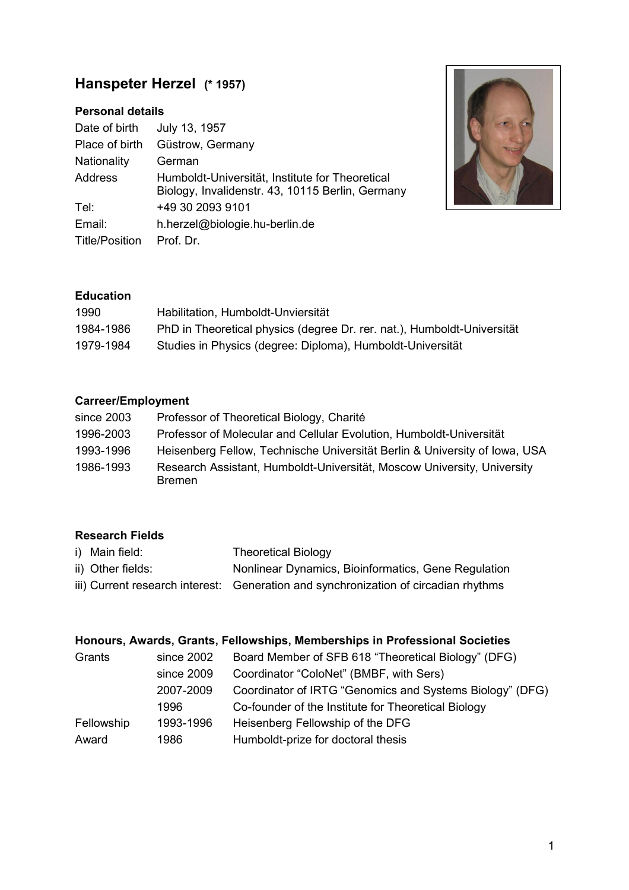# **Hanspeter Herzel (\* 1957)**

# **Personal details**

| Date of birth         | July 13, 1957                                                                                       |
|-----------------------|-----------------------------------------------------------------------------------------------------|
| Place of birth        | Güstrow, Germany                                                                                    |
| Nationality           | German                                                                                              |
| Address               | Humboldt-Universität, Institute for Theoretical<br>Biology, Invalidenstr. 43, 10115 Berlin, Germany |
| Tel:                  | +49 30 2093 9101                                                                                    |
| Email:                | h.herzel@biologie.hu-berlin.de                                                                      |
| <b>Title/Position</b> | Prof. Dr.                                                                                           |



## **Education**

| 1990      | Habilitation, Humboldt-Unviersität                                      |
|-----------|-------------------------------------------------------------------------|
| 1984-1986 | PhD in Theoretical physics (degree Dr. rer. nat.), Humboldt-Universität |
| 1979-1984 | Studies in Physics (degree: Diploma), Humboldt-Universität              |

# **Carreer/Employment**

| since 2003 | Professor of Theoretical Biology, Charité                                                |
|------------|------------------------------------------------------------------------------------------|
| 1996-2003  | Professor of Molecular and Cellular Evolution, Humboldt-Universität                      |
| 1993-1996  | Heisenberg Fellow, Technische Universität Berlin & University of Iowa, USA               |
| 1986-1993  | Research Assistant, Humboldt-Universität, Moscow University, University<br><b>Bremen</b> |

## **Research Fields**

| i) Main field:    | <b>Theoretical Biology</b>                                                          |
|-------------------|-------------------------------------------------------------------------------------|
| ii) Other fields: | Nonlinear Dynamics, Bioinformatics, Gene Regulation                                 |
|                   | iii) Current research interest: Generation and synchronization of circadian rhythms |

## **Honours, Awards, Grants, Fellowships, Memberships in Professional Societies**

| Grants     | since 2002 | Board Member of SFB 618 "Theoretical Biology" (DFG)      |
|------------|------------|----------------------------------------------------------|
|            | since 2009 | Coordinator "ColoNet" (BMBF, with Sers)                  |
|            | 2007-2009  | Coordinator of IRTG "Genomics and Systems Biology" (DFG) |
|            | 1996       | Co-founder of the Institute for Theoretical Biology      |
| Fellowship | 1993-1996  | Heisenberg Fellowship of the DFG                         |
| Award      | 1986       | Humboldt-prize for doctoral thesis                       |